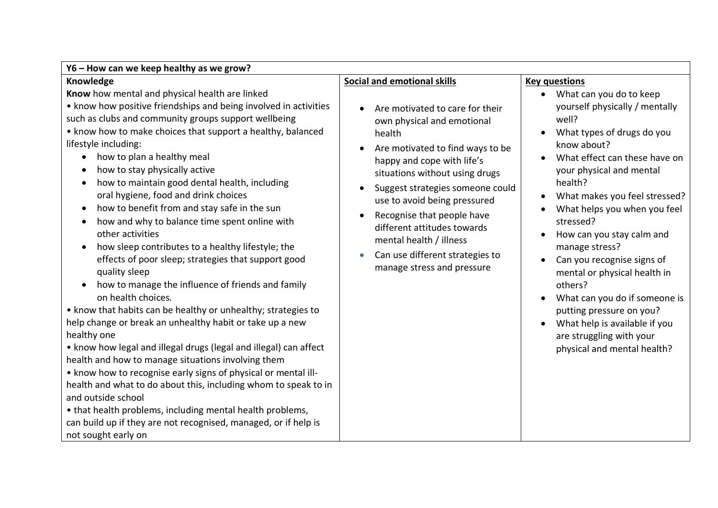| Y6 - How can we keep healthy as we grow?                                                                                                                                                                                                                                                                                                                                                                                                                                                                                                                                                                                                                                                                                                                                                                                                                                                                                                                                                                                                                                                                                                                                                                                                                                                                                                                                                                                                   |                                                                                                                                                                                                                                                                                                                                                                                                                                                              |                                                                                                                                                                                                                                                                                                                                                                                                                                                                                                                                                                                  |  |
|--------------------------------------------------------------------------------------------------------------------------------------------------------------------------------------------------------------------------------------------------------------------------------------------------------------------------------------------------------------------------------------------------------------------------------------------------------------------------------------------------------------------------------------------------------------------------------------------------------------------------------------------------------------------------------------------------------------------------------------------------------------------------------------------------------------------------------------------------------------------------------------------------------------------------------------------------------------------------------------------------------------------------------------------------------------------------------------------------------------------------------------------------------------------------------------------------------------------------------------------------------------------------------------------------------------------------------------------------------------------------------------------------------------------------------------------|--------------------------------------------------------------------------------------------------------------------------------------------------------------------------------------------------------------------------------------------------------------------------------------------------------------------------------------------------------------------------------------------------------------------------------------------------------------|----------------------------------------------------------------------------------------------------------------------------------------------------------------------------------------------------------------------------------------------------------------------------------------------------------------------------------------------------------------------------------------------------------------------------------------------------------------------------------------------------------------------------------------------------------------------------------|--|
| Knowledge                                                                                                                                                                                                                                                                                                                                                                                                                                                                                                                                                                                                                                                                                                                                                                                                                                                                                                                                                                                                                                                                                                                                                                                                                                                                                                                                                                                                                                  | <b>Social and emotional skills</b>                                                                                                                                                                                                                                                                                                                                                                                                                           | <b>Key questions</b>                                                                                                                                                                                                                                                                                                                                                                                                                                                                                                                                                             |  |
| Know how mental and physical health are linked<br>• know how positive friendships and being involved in activities<br>such as clubs and community groups support wellbeing<br>• know how to make choices that support a healthy, balanced<br>lifestyle including:<br>how to plan a healthy meal<br>$\bullet$<br>how to stay physically active<br>$\bullet$<br>how to maintain good dental health, including<br>$\bullet$<br>oral hygiene, food and drink choices<br>how to benefit from and stay safe in the sun<br>$\bullet$<br>how and why to balance time spent online with<br>$\bullet$<br>other activities<br>how sleep contributes to a healthy lifestyle; the<br>$\bullet$<br>effects of poor sleep; strategies that support good<br>quality sleep<br>how to manage the influence of friends and family<br>$\bullet$<br>on health choices.<br>• know that habits can be healthy or unhealthy; strategies to<br>help change or break an unhealthy habit or take up a new<br>healthy one<br>• know how legal and illegal drugs (legal and illegal) can affect<br>health and how to manage situations involving them<br>• know how to recognise early signs of physical or mental ill-<br>health and what to do about this, including whom to speak to in<br>and outside school<br>• that health problems, including mental health problems,<br>can build up if they are not recognised, managed, or if help is<br>not sought early on | Are motivated to care for their<br>$\bullet$<br>own physical and emotional<br>health<br>Are motivated to find ways to be<br>happy and cope with life's<br>situations without using drugs<br>Suggest strategies someone could<br>$\bullet$<br>use to avoid being pressured<br>Recognise that people have<br>$\bullet$<br>different attitudes towards<br>mental health / illness<br>Can use different strategies to<br>$\bullet$<br>manage stress and pressure | What can you do to keep<br>$\bullet$<br>yourself physically / mentally<br>well?<br>What types of drugs do you<br>$\bullet$<br>know about?<br>What effect can these have on<br>your physical and mental<br>health?<br>What makes you feel stressed?<br>What helps you when you feel<br>stressed?<br>How can you stay calm and<br>manage stress?<br>Can you recognise signs of<br>mental or physical health in<br>others?<br>What can you do if someone is<br>putting pressure on you?<br>What help is available if you<br>are struggling with your<br>physical and mental health? |  |